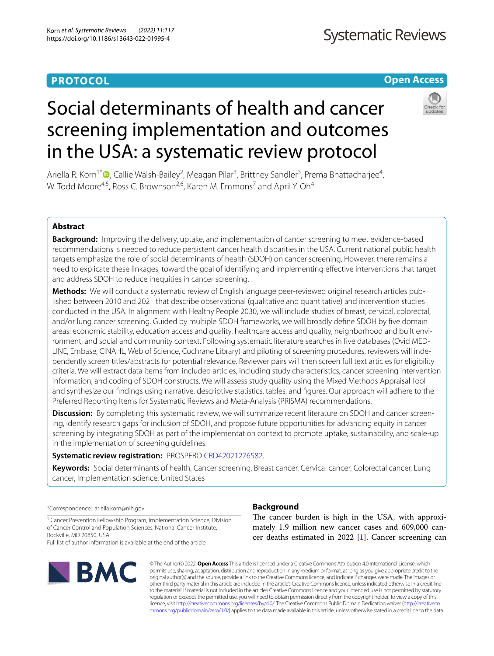## **PROTOCOL**

## **Open Access**

# Social determinants of health and cancer screening implementation and outcomes in the USA: a systematic review protocol

Ariella R. Korn<sup>1[\\*](http://orcid.org/0000-0001-7227-7365)</sup><sup>®</sup>, Callie Walsh-Bailey<sup>2</sup>, Meagan Pilar<sup>3</sup>, Brittney Sandler<sup>3</sup>, Prema Bhattacharjee<sup>4</sup>, W. Todd Moore<sup>4,5</sup>, Ross C. Brownson<sup>2,6</sup>, Karen M. Emmons<sup>7</sup> and April Y. Oh<sup>4</sup>

## **Abstract**

**Background:** Improving the delivery, uptake, and implementation of cancer screening to meet evidence-based recommendations is needed to reduce persistent cancer health disparities in the USA. Current national public health targets emphasize the role of social determinants of health (SDOH) on cancer screening. However, there remains a need to explicate these linkages, toward the goal of identifying and implementing efective interventions that target and address SDOH to reduce inequities in cancer screening.

Methods: We will conduct a systematic review of English language peer-reviewed original research articles published between 2010 and 2021 that describe observational (qualitative and quantitative) and intervention studies conducted in the USA. In alignment with Healthy People 2030, we will include studies of breast, cervical, colorectal, and/or lung cancer screening. Guided by multiple SDOH frameworks, we will broadly defne SDOH by fve domain areas: economic stability, education access and quality, healthcare access and quality, neighborhood and built environment, and social and community context. Following systematic literature searches in fve databases (Ovid MED‑ LINE, Embase, CINAHL, Web of Science, Cochrane Library) and piloting of screening procedures, reviewers will independently screen titles/abstracts for potential relevance. Reviewer pairs will then screen full text articles for eligibility criteria. We will extract data items from included articles, including study characteristics, cancer screening intervention information, and coding of SDOH constructs. We will assess study quality using the Mixed Methods Appraisal Tool and synthesize our fndings using narrative, descriptive statistics, tables, and fgures. Our approach will adhere to the Preferred Reporting Items for Systematic Reviews and Meta-Analysis (PRISMA) recommendations.

**Discussion:** By completing this systematic review, we will summarize recent literature on SDOH and cancer screening, identify research gaps for inclusion of SDOH, and propose future opportunities for advancing equity in cancer screening by integrating SDOH as part of the implementation context to promote uptake, sustainability, and scale-up in the implementation of screening guidelines.

**Systematic review registration:** PROSPERO [CRD42021276582.](https://www.crd.york.ac.uk/prospero/display_record.php?RecordID=276582)

**Keywords:** Social determinants of health, Cancer screening, Breast cancer, Cervical cancer, Colorectal cancer, Lung cancer, Implementation science, United States

\*Correspondence: ariella.korn@nih.gov

<sup>1</sup> Cancer Prevention Fellowship Program, Implementation Science, Division of Cancer Control and Population Sciences, National Cancer Institute, Rockville, MD 20850, USA

Full list of author information is available at the end of the article



## **Background**

The cancer burden is high in the USA, with approximately 1.9 million new cancer cases and 609,000 cancer deaths estimated in 2022 [[1\]](#page-6-0). Cancer screening can

© The Author(s) 2022. **Open Access** This article is licensed under a Creative Commons Attribution 4.0 International License, which permits use, sharing, adaptation, distribution and reproduction in any medium or format, as long as you give appropriate credit to the original author(s) and the source, provide a link to the Creative Commons licence, and indicate if changes were made. The images or other third party material in this article are included in the article's Creative Commons licence, unless indicated otherwise in a credit line to the material. If material is not included in the article's Creative Commons licence and your intended use is not permitted by statutory regulation or exceeds the permitted use, you will need to obtain permission directly from the copyright holder. To view a copy of this licence, visit [http://creativecommons.org/licenses/by/4.0/.](http://creativecommons.org/licenses/by/4.0/) The Creative Commons Public Domain Dedication waiver ([http://creativeco](http://creativecommons.org/publicdomain/zero/1.0/) [mmons.org/publicdomain/zero/1.0/](http://creativecommons.org/publicdomain/zero/1.0/)) applies to the data made available in this article, unless otherwise stated in a credit line to the data.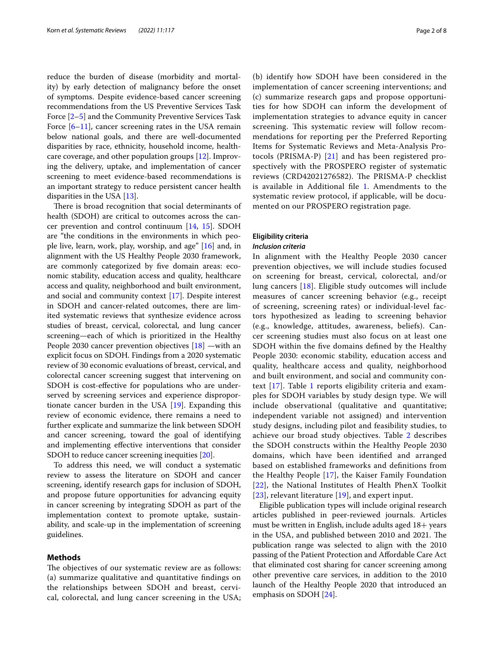reduce the burden of disease (morbidity and mortality) by early detection of malignancy before the onset of symptoms. Despite evidence-based cancer screening recommendations from the US Preventive Services Task Force [[2–](#page-6-1)[5](#page-6-2)] and the Community Preventive Services Task Force  $[6-11]$  $[6-11]$  $[6-11]$ , cancer screening rates in the USA remain below national goals, and there are well-documented disparities by race, ethnicity, household income, healthcare coverage, and other population groups [\[12\]](#page-6-5). Improving the delivery, uptake, and implementation of cancer screening to meet evidence-based recommendations is an important strategy to reduce persistent cancer health disparities in the USA [[13](#page-6-6)].

There is broad recognition that social determinants of health (SDOH) are critical to outcomes across the cancer prevention and control continuum [\[14](#page-6-7), [15](#page-6-8)]. SDOH are "the conditions in the environments in which people live, learn, work, play, worship, and age" [[16\]](#page-6-9) and, in alignment with the US Healthy People 2030 framework, are commonly categorized by fve domain areas: economic stability, education access and quality, healthcare access and quality, neighborhood and built environment, and social and community context [[17\]](#page-6-10). Despite interest in SDOH and cancer-related outcomes, there are limited systematic reviews that synthesize evidence across studies of breast, cervical, colorectal, and lung cancer screening—each of which is prioritized in the Healthy People 2030 cancer prevention objectives [\[18\]](#page-7-0) —with an explicit focus on SDOH. Findings from a 2020 systematic review of 30 economic evaluations of breast, cervical, and colorectal cancer screening suggest that intervening on SDOH is cost-efective for populations who are underserved by screening services and experience disproportionate cancer burden in the USA [[19\]](#page-7-1). Expanding this review of economic evidence, there remains a need to further explicate and summarize the link between SDOH and cancer screening, toward the goal of identifying and implementing efective interventions that consider SDOH to reduce cancer screening inequities [[20\]](#page-7-2).

To address this need, we will conduct a systematic review to assess the literature on SDOH and cancer screening, identify research gaps for inclusion of SDOH, and propose future opportunities for advancing equity in cancer screening by integrating SDOH as part of the implementation context to promote uptake, sustainability, and scale-up in the implementation of screening guidelines.

## **Methods**

The objectives of our systematic review are as follows: (a) summarize qualitative and quantitative fndings on the relationships between SDOH and breast, cervical, colorectal, and lung cancer screening in the USA;

(b) identify how SDOH have been considered in the implementation of cancer screening interventions; and (c) summarize research gaps and propose opportunities for how SDOH can inform the development of implementation strategies to advance equity in cancer screening. This systematic review will follow recommendations for reporting per the Preferred Reporting Items for Systematic Reviews and Meta-Analysis Protocols (PRISMA-P) [[21\]](#page-7-3) and has been registered prospectively with the PROSPERO register of systematic reviews (CRD42021276582). The PRISMA-P checklist is available in Additional file [1.](#page-6-11) Amendments to the systematic review protocol, if applicable, will be documented on our PROSPERO registration page.

## **Eligibility criteria** *Inclusion criteria*

In alignment with the Healthy People 2030 cancer prevention objectives, we will include studies focused on screening for breast, cervical, colorectal, and/or lung cancers [[18](#page-7-0)]. Eligible study outcomes will include measures of cancer screening behavior (e.g., receipt of screening, screening rates) or individual-level factors hypothesized as leading to screening behavior (e.g., knowledge, attitudes, awareness, beliefs). Cancer screening studies must also focus on at least one SDOH within the fve domains defned by the Healthy People 2030: economic stability, education access and quality, healthcare access and quality, neighborhood and built environment, and social and community context  $[17]$  $[17]$ . Table [1](#page-2-0) reports eligibility criteria and examples for SDOH variables by study design type. We will include observational (qualitative and quantitative; independent variable not assigned) and intervention study designs, including pilot and feasibility studies, to achieve our broad study objectives. Table [2](#page-3-0) describes the SDOH constructs within the Healthy People 2030 domains, which have been identifed and arranged based on established frameworks and defnitions from the Healthy People [[17\]](#page-6-10), the Kaiser Family Foundation [[22](#page-7-4)], the National Institutes of Health PhenX Toolkit [[23](#page-7-5)], relevant literature [[19\]](#page-7-1), and expert input.

Eligible publication types will include original research articles published in peer-reviewed journals. Articles must be written in English, include adults aged 18+ years in the USA, and published between 2010 and 2021. The publication range was selected to align with the 2010 passing of the Patient Protection and Afordable Care Act that eliminated cost sharing for cancer screening among other preventive care services, in addition to the 2010 launch of the Healthy People 2020 that introduced an emphasis on SDOH [\[24](#page-7-6)].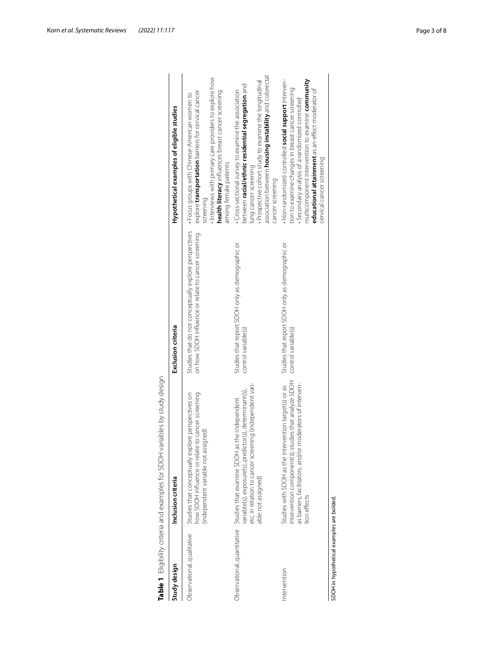| Study design                              | Inclusion criteria                                                                                                                                                                                                   | Exclusion criteria                                                                                           | Hypothetical examples of eligible studies                                                                                                                                                                                                                                                        |
|-------------------------------------------|----------------------------------------------------------------------------------------------------------------------------------------------------------------------------------------------------------------------|--------------------------------------------------------------------------------------------------------------|--------------------------------------------------------------------------------------------------------------------------------------------------------------------------------------------------------------------------------------------------------------------------------------------------|
| Observational, qualitative                | how SDOH influence or relate to cancer screening<br>Studies that conceptually explore perspectives on<br>(independent variable not assigned)                                                                         | Studies that do not conceptually explore perspectives<br>on how SDOH influence or relate to cancer screening | Interviews with primary care providers to explore how<br>health literacy influences breast cancer screening<br>explore transportation barriers for cervical cancer<br>• Focus groups with Chinese-American women to<br>among female patients<br>screening                                        |
|                                           | etc. in relation to cancer screening (independent vari-<br>variable(s), exposure(s), predictor(s), determinant(s),<br>Observational, quantitative Studies that examine SDOH as the independent<br>able not assigned) | Studies that report SDOH only as demographic or<br>control variable(s)                                       | association between <b>housing instability</b> and colorectal<br>Prospective cohort study to examine the longitudinal<br>between racial/ethnic residential segregation and<br>Cross-sectional survey to examine the association<br>lung cancer screening<br>cancer screening                     |
| ntervention                               | intervention component(s); studies that analyze SDOH<br>moderators of interven-<br>Studies with SDOH as the intervention target(s) or as<br>as barriers, facilitators, and/or<br>tion effects                        | Studies that report SDOH only as demographic or<br>control variable(s)                                       | multicomponent intervention to examine community<br>• Non-randomized controlled social support interven-<br>tion to examine changes in breast cancer screening<br>educational attainment as an effect moderator of<br>Secondary analysis of a randomized controlled<br>cervical cancer screening |
| SDOH in hypothetical examples are bolded. |                                                                                                                                                                                                                      |                                                                                                              |                                                                                                                                                                                                                                                                                                  |

<span id="page-2-0"></span>

| j<br>İ<br>ł<br>١                                                                     |
|--------------------------------------------------------------------------------------|
| j                                                                                    |
| ī<br>i                                                                               |
| S<br>Ì                                                                               |
| ţ<br>þ                                                                               |
| ١                                                                                    |
| ١                                                                                    |
|                                                                                      |
| I                                                                                    |
| )<br>I<br>١                                                                          |
| I<br>١<br>Ì                                                                          |
| ١                                                                                    |
| ١<br>I<br>ļ                                                                          |
| i                                                                                    |
| $\ddot{\phantom{0}}$<br>I                                                            |
| Ī<br>l                                                                               |
| I                                                                                    |
| ī<br>d<br>١                                                                          |
| ֧֧֧֧֧֧֪ׅ֧֪ׅ֧֚֚֚֚֚֚֚֚֚֚֚֚֚֚֚֚֚֚֚֚֚֚֚֚֚֚֚֚֚֚֕֡֟֓֡֡֬֓֓֞֡֡֓֓֞֓֝֬֓֓֬֓֓֝֬֓֬֝֬֓֬֬<br>j<br>l |
|                                                                                      |
|                                                                                      |
| ١<br>Ī                                                                               |
| v                                                                                    |
| י<br>I                                                                               |
| l<br>l                                                                               |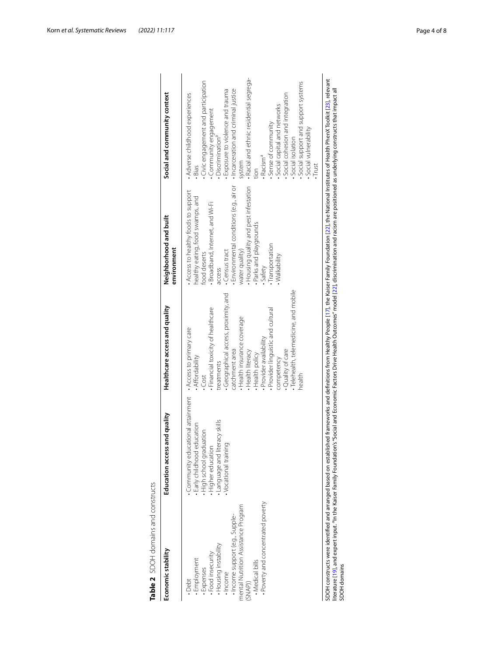| Table 2 SDOH domains and constructs                                                                                                                                                                                                      |                                                                                                                                                                                                                                                                                                                                                                                                                                                                 |                                                                                                                                                                                                                                                                                                                                                                                            |                                                                                                                                                                                                                                                                                                                                    |                                                                                                                                                                                                                                                                                                                                                                                                                                                                                         |
|------------------------------------------------------------------------------------------------------------------------------------------------------------------------------------------------------------------------------------------|-----------------------------------------------------------------------------------------------------------------------------------------------------------------------------------------------------------------------------------------------------------------------------------------------------------------------------------------------------------------------------------------------------------------------------------------------------------------|--------------------------------------------------------------------------------------------------------------------------------------------------------------------------------------------------------------------------------------------------------------------------------------------------------------------------------------------------------------------------------------------|------------------------------------------------------------------------------------------------------------------------------------------------------------------------------------------------------------------------------------------------------------------------------------------------------------------------------------|-----------------------------------------------------------------------------------------------------------------------------------------------------------------------------------------------------------------------------------------------------------------------------------------------------------------------------------------------------------------------------------------------------------------------------------------------------------------------------------------|
| Economic stability                                                                                                                                                                                                                       | and quality<br>Education access a                                                                                                                                                                                                                                                                                                                                                                                                                               | Healthcare access and quality                                                                                                                                                                                                                                                                                                                                                              | Neighborhood and built<br>environment                                                                                                                                                                                                                                                                                              | Social and community context                                                                                                                                                                                                                                                                                                                                                                                                                                                            |
| · Poverty and concentrated poverty<br>mental Nutrition Assistance Program<br>-Income support (e.g., Supple-<br>. Housing instability<br>· Food insecurity<br>· Employment<br>· Medical bills<br>Expenses<br>· Income<br>Debt.<br>(SNAP)) | Community educational attainment<br>Language and literacy skills<br>· Early childhood education<br>High school graduation<br>Higher education<br>Vocational training                                                                                                                                                                                                                                                                                            | · Telehealth, telemedicine, and mobile<br>Geographical access, proximity, and<br>Financial toxicity of healthcare<br>Provider linguistic and cultural<br>Health insurance coverage<br>. Access to primary care<br>· Provider availability<br>· Quality of care<br>catchment area<br>. Health literacy<br>. Health policy<br>. Affordability<br>competency<br>treatments<br>health<br>.Cost | Environmental conditions (e.g., air or<br>Housing quality and pest infestation<br>Access to healthy foods to support<br>nealthy eating, food swamps, and<br>· Broadband, Internet, and Wi-Fi<br>Parks and playgrounds<br>· Transportation<br>water quality)<br>. Census tract<br>food deserts<br>Walkability<br>· Safety<br>access | - Racial and ethnic residential segrega-<br>Civic engagement and participation<br>Social support and support systems<br>. Incarceration and criminal justice<br>Exposure to violence and trauma<br>Social cohesion and integration<br>Adverse childhood experiences<br>Social capital and networks<br>Community engagement<br>Sense of community<br>Social vulnerability<br>Discrimination <sup>a</sup><br>Social isolation<br>· Racism <sup>a</sup><br>system<br>Trust<br>Bias<br>tion |
| SDOH domains                                                                                                                                                                                                                             | SDOH constructs were identified and arranged based on established frameworks and definitions from Healthy People [17], the Kaiser Family Foundation [22], the National Institutes of Health PhenX Toolkit [23], relevant<br>literature [19], and expert input. <sup>a</sup> In the Kaiser Family Foundation's "Social and Economic Factors Drive Health Outcomes" model [22], discrimination and racism are positioned as underlying constructs that impact all |                                                                                                                                                                                                                                                                                                                                                                                            |                                                                                                                                                                                                                                                                                                                                    |                                                                                                                                                                                                                                                                                                                                                                                                                                                                                         |

<span id="page-3-0"></span>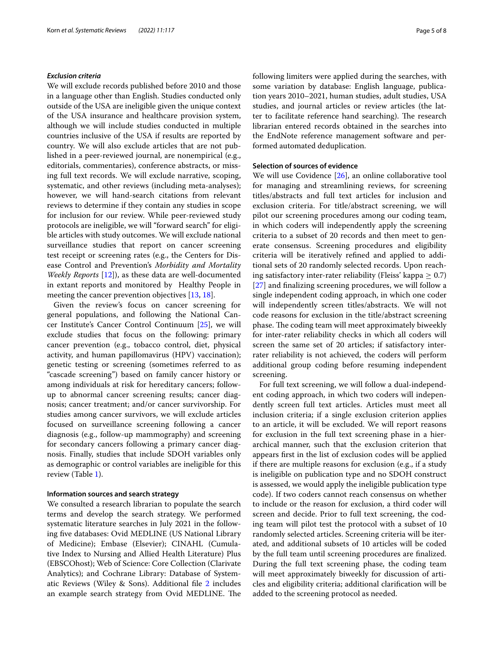## *Exclusion criteria*

We will exclude records published before 2010 and those in a language other than English. Studies conducted only outside of the USA are ineligible given the unique context of the USA insurance and healthcare provision system, although we will include studies conducted in multiple countries inclusive of the USA if results are reported by country. We will also exclude articles that are not published in a peer-reviewed journal, are nonempirical (e.g., editorials, commentaries), conference abstracts, or missing full text records. We will exclude narrative, scoping, systematic, and other reviews (including meta-analyses); however, we will hand-search citations from relevant reviews to determine if they contain any studies in scope for inclusion for our review. While peer-reviewed study protocols are ineligible, we will "forward search" for eligible articles with study outcomes. We will exclude national surveillance studies that report on cancer screening test receipt or screening rates (e.g., the Centers for Disease Control and Prevention's *Morbidity and Mortality Weekly Reports* [\[12](#page-6-5)]), as these data are well-documented in extant reports and monitored by Healthy People in meeting the cancer prevention objectives [[13,](#page-6-6) [18](#page-7-0)].

Given the review's focus on cancer screening for general populations, and following the National Cancer Institute's Cancer Control Continuum [\[25\]](#page-7-7), we will exclude studies that focus on the following: primary cancer prevention (e.g., tobacco control, diet, physical activity, and human papillomavirus (HPV) vaccination); genetic testing or screening (sometimes referred to as "cascade screening") based on family cancer history or among individuals at risk for hereditary cancers; followup to abnormal cancer screening results; cancer diagnosis; cancer treatment; and/or cancer survivorship. For studies among cancer survivors, we will exclude articles focused on surveillance screening following a cancer diagnosis (e.g., follow-up mammography) and screening for secondary cancers following a primary cancer diagnosis. Finally, studies that include SDOH variables only as demographic or control variables are ineligible for this review (Table [1\)](#page-2-0).

## **Information sources and search strategy**

We consulted a research librarian to populate the search terms and develop the search strategy. We performed systematic literature searches in July 2021 in the following fve databases: Ovid MEDLINE (US National Library of Medicine); Embase (Elsevier); CINAHL (Cumulative Index to Nursing and Allied Health Literature) Plus (EBSCOhost); Web of Science: Core Collection (Clarivate Analytics); and Cochrane Library: Database of Systematic Reviews (Wiley & Sons). Additional fle [2](#page-6-12) includes an example search strategy from Ovid MEDLINE. The following limiters were applied during the searches, with some variation by database: English language, publication years 2010–2021, human studies, adult studies, USA studies, and journal articles or review articles (the latter to facilitate reference hand searching). The research librarian entered records obtained in the searches into the EndNote reference management software and performed automated deduplication.

## **Selection of sources of evidence**

We will use Covidence [\[26](#page-7-8)], an online collaborative tool for managing and streamlining reviews, for screening titles/abstracts and full text articles for inclusion and exclusion criteria. For title/abstract screening, we will pilot our screening procedures among our coding team, in which coders will independently apply the screening criteria to a subset of 20 records and then meet to generate consensus. Screening procedures and eligibility criteria will be iteratively refned and applied to additional sets of 20 randomly selected records. Upon reaching satisfactory inter-rater reliability (Fleiss' kappa  $\geq 0.7$ ) [[27\]](#page-7-9) and fnalizing screening procedures, we will follow a single independent coding approach, in which one coder will independently screen titles/abstracts. We will not code reasons for exclusion in the title/abstract screening phase. The coding team will meet approximately biweekly for inter-rater reliability checks in which all coders will screen the same set of 20 articles; if satisfactory interrater reliability is not achieved, the coders will perform additional group coding before resuming independent screening.

For full text screening, we will follow a dual-independent coding approach, in which two coders will independently screen full text articles. Articles must meet all inclusion criteria; if a single exclusion criterion applies to an article, it will be excluded. We will report reasons for exclusion in the full text screening phase in a hierarchical manner, such that the exclusion criterion that appears frst in the list of exclusion codes will be applied if there are multiple reasons for exclusion (e.g., if a study is ineligible on publication type and no SDOH construct is assessed, we would apply the ineligible publication type code). If two coders cannot reach consensus on whether to include or the reason for exclusion, a third coder will screen and decide. Prior to full text screening, the coding team will pilot test the protocol with a subset of 10 randomly selected articles. Screening criteria will be iterated, and additional subsets of 10 articles will be coded by the full team until screening procedures are fnalized. During the full text screening phase, the coding team will meet approximately biweekly for discussion of articles and eligibility criteria; additional clarifcation will be added to the screening protocol as needed.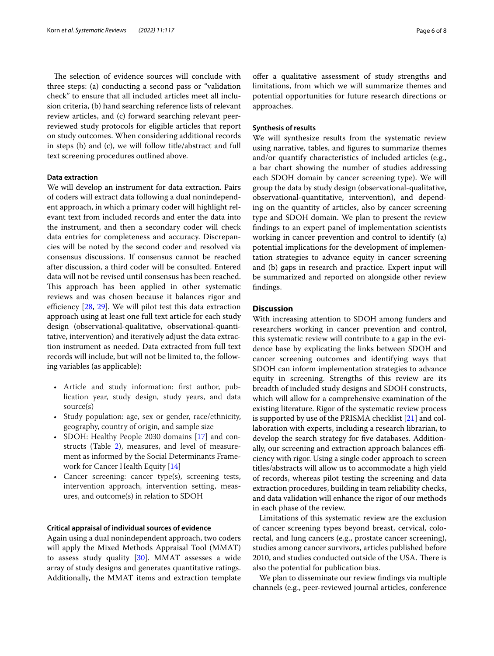The selection of evidence sources will conclude with three steps: (a) conducting a second pass or "validation check" to ensure that all included articles meet all inclusion criteria, (b) hand searching reference lists of relevant review articles, and (c) forward searching relevant peerreviewed study protocols for eligible articles that report on study outcomes. When considering additional records in steps (b) and (c), we will follow title/abstract and full text screening procedures outlined above.

## **Data extraction**

We will develop an instrument for data extraction. Pairs of coders will extract data following a dual nonindependent approach, in which a primary coder will highlight relevant text from included records and enter the data into the instrument, and then a secondary coder will check data entries for completeness and accuracy. Discrepancies will be noted by the second coder and resolved via consensus discussions. If consensus cannot be reached after discussion, a third coder will be consulted. Entered data will not be revised until consensus has been reached. This approach has been applied in other systematic reviews and was chosen because it balances rigor and efficiency  $[28, 29]$  $[28, 29]$  $[28, 29]$  $[28, 29]$ . We will pilot test this data extraction approach using at least one full text article for each study design (observational-qualitative, observational-quantitative, intervention) and iteratively adjust the data extraction instrument as needed. Data extracted from full text records will include, but will not be limited to, the following variables (as applicable):

- Article and study information: frst author, publication year, study design, study years, and data source(s)
- Study population: age, sex or gender, race/ethnicity, geography, country of origin, and sample size
- SDOH: Healthy People 2030 domains [[17\]](#page-6-10) and constructs (Table [2](#page-3-0)), measures, and level of measurement as informed by the Social Determinants Framework for Cancer Health Equity [\[14\]](#page-6-7)
- Cancer screening: cancer type(s), screening tests, intervention approach, intervention setting, measures, and outcome(s) in relation to SDOH

## **Critical appraisal of individual sources of evidence**

Again using a dual nonindependent approach, two coders will apply the Mixed Methods Appraisal Tool (MMAT) to assess study quality [[30\]](#page-7-12). MMAT assesses a wide array of study designs and generates quantitative ratings. Additionally, the MMAT items and extraction template offer a qualitative assessment of study strengths and limitations, from which we will summarize themes and potential opportunities for future research directions or approaches.

## **Synthesis of results**

We will synthesize results from the systematic review using narrative, tables, and fgures to summarize themes and/or quantify characteristics of included articles (e.g., a bar chart showing the number of studies addressing each SDOH domain by cancer screening type). We will group the data by study design (observational-qualitative, observational-quantitative, intervention), and depending on the quantity of articles, also by cancer screening type and SDOH domain. We plan to present the review fndings to an expert panel of implementation scientists working in cancer prevention and control to identify (a) potential implications for the development of implementation strategies to advance equity in cancer screening and (b) gaps in research and practice. Expert input will be summarized and reported on alongside other review fndings.

## **Discussion**

With increasing attention to SDOH among funders and researchers working in cancer prevention and control, this systematic review will contribute to a gap in the evidence base by explicating the links between SDOH and cancer screening outcomes and identifying ways that SDOH can inform implementation strategies to advance equity in screening. Strengths of this review are its breadth of included study designs and SDOH constructs, which will allow for a comprehensive examination of the existing literature. Rigor of the systematic review process is supported by use of the PRISMA checklist [\[21](#page-7-3)] and collaboration with experts, including a research librarian, to develop the search strategy for five databases. Additionally, our screening and extraction approach balances efficiency with rigor. Using a single coder approach to screen titles/abstracts will allow us to accommodate a high yield of records, whereas pilot testing the screening and data extraction procedures, building in team reliability checks, and data validation will enhance the rigor of our methods in each phase of the review.

Limitations of this systematic review are the exclusion of cancer screening types beyond breast, cervical, colorectal, and lung cancers (e.g., prostate cancer screening), studies among cancer survivors, articles published before 2010, and studies conducted outside of the USA. There is also the potential for publication bias.

We plan to disseminate our review fndings via multiple channels (e.g., peer-reviewed journal articles, conference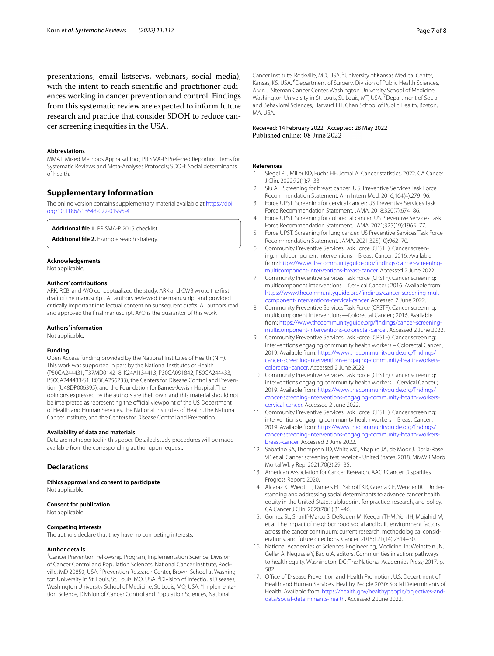presentations, email listservs, webinars, social media), with the intent to reach scientifc and practitioner audiences working in cancer prevention and control. Findings from this systematic review are expected to inform future research and practice that consider SDOH to reduce cancer screening inequities in the USA.

## **Abbreviations**

MMAT: Mixed Methods Appraisal Tool; PRISMA-P: Preferred Reporting Items for Systematic Reviews and Meta-Analyses Protocols; SDOH: Social determinants of health.

## **Supplementary Information**

The online version contains supplementary material available at [https://doi.](https://doi.org/10.1186/s13643-022-01995-4) [org/10.1186/s13643-022-01995-4](https://doi.org/10.1186/s13643-022-01995-4).

<span id="page-6-12"></span><span id="page-6-11"></span>**Additional fle 1.** PRISMA-P 2015 checklist.

**Additional fle 2.** Example search strategy.

#### **Acknowledgements**

Not applicable.

#### **Authors' contributions**

ARK, RCB, and AYO conceptualized the study. ARK and CWB wrote the frst draft of the manuscript. All authors reviewed the manuscript and provided critically important intellectual content on subsequent drafts. All authors read and approved the fnal manuscript. AYO is the guarantor of this work.

#### **Authors' information**

Not applicable.

#### **Funding**

Open Access funding provided by the National Institutes of Health (NIH). This work was supported in part by the National Institutes of Health (P50CA244431, T37MD014218, K24AI134413, P30CA091842, P50CA244433, P50CA244433-S1, R03CA256233), the Centers for Disease Control and Prevention (U48DP006395), and the Foundation for Barnes-Jewish Hospital. The opinions expressed by the authors are their own, and this material should not be interpreted as representing the official viewpoint of the US Department of Health and Human Services, the National Institutes of Health, the National Cancer Institute, and the Centers for Disease Control and Prevention.

#### **Availability of data and materials**

Data are not reported in this paper. Detailed study procedures will be made available from the corresponding author upon request.

#### **Declarations**

**Ethics approval and consent to participate** Not applicable

## **Consent for publication**

Not applicable

## **Competing interests**

The authors declare that they have no competing interests.

#### **Author details**

<sup>1</sup> Cancer Prevention Fellowship Program, Implementation Science, Division of Cancer Control and Population Sciences, National Cancer Institute, Rockville, MD 20850, USA. <sup>2</sup> Prevention Research Center, Brown School at Washington University in St. Louis, St. Louis, MO, USA. <sup>3</sup> Division of Infectious Diseases, Washington University School of Medicine, St. Louis, MO, USA. <sup>4</sup>Implementation Science, Division of Cancer Control and Population Sciences, National

Cancer Institute, Rockville, MD, USA.<sup>5</sup> University of Kansas Medical Center, Kansas, KS, USA. <sup>6</sup> Department of Surgery, Division of Public Health Sciences, Alvin J. Siteman Cancer Center, Washington University School of Medicine, Washington University in St. Louis, St. Louis, MT, USA. <sup>7</sup> Department of Social and Behavioral Sciences, Harvard T.H. Chan School of Public Health, Boston, MA, USA.

# Received: 14 February 2022 Accepted: 28 May 2022<br>Published online: 08 June 2022

#### **References**

- <span id="page-6-0"></span>1. Siegel RL, Miller KD, Fuchs HE, Jemal A. Cancer statistics, 2022. CA Cancer J Clin. 2022;72(1):7–33.
- <span id="page-6-1"></span>2. Siu AL. Screening for breast cancer: U.S. Preventive Services Task Force Recommendation Statement. Ann Intern Med. 2016;164(4):279–96.
- 3. Force UPST. Screening for cervical cancer: US Preventive Services Task Force Recommendation Statement. JAMA. 2018;320(7):674–86.
- 4. Force UPST. Screening for colorectal cancer: US Preventive Services Task Force Recommendation Statement. JAMA. 2021;325(19):1965–77.
- <span id="page-6-2"></span>5. Force UPST. Screening for lung cancer: US Preventive Services Task Force Recommendation Statement. JAMA. 2021;325(10):962–70.
- <span id="page-6-3"></span>6. Community Preventive Services Task Force (CPSTF). Cancer screening: multicomponent interventions—Breast Cancer; 2016. Available from: [https://www.thecommunityguide.org/fndings/cancer-screening](https://www.thecommunityguide.org/findings/cancer-screening-multicomponent-interventions-breast-cancer) [multicomponent-interventions-breast-cancer](https://www.thecommunityguide.org/findings/cancer-screening-multicomponent-interventions-breast-cancer). Accessed 2 June 2022.
- 7. Community Preventive Services Task Force (CPSTF). Cancer screening: multicomponent interventions—Cervical Cancer ; 2016. Available from: [https://www.thecommunityguide.org/fndings/cancer-screening-multi](https://www.thecommunityguide.org/findings/cancer-screening-multicomponent-interventions-cervical-cancer) [component-interventions-cervical-cancer](https://www.thecommunityguide.org/findings/cancer-screening-multicomponent-interventions-cervical-cancer). Accessed 2 June 2022.
- 8. Community Preventive Services Task Force (CPSTF). Cancer screening: multicomponent interventions—Colorectal Cancer ; 2016. Available from: [https://www.thecommunityguide.org/fndings/cancer-screening](https://www.thecommunityguide.org/findings/cancer-screening-multicomponent-interventions-colorectal-cancer) [multicomponent-interventions-colorectal-cancer.](https://www.thecommunityguide.org/findings/cancer-screening-multicomponent-interventions-colorectal-cancer) Accessed 2 June 2022.
- 9. Community Preventive Services Task Force (CPSTF). Cancer screening: interventions engaging community health workers – Colorectal Cancer ; 2019. Available from: [https://www.thecommunityguide.org/fndings/](https://www.thecommunityguide.org/findings/cancer-screening-interventions-engaging-community-health-workers-colorectal-cancer) [cancer-screening-interventions-engaging-community-health-workers](https://www.thecommunityguide.org/findings/cancer-screening-interventions-engaging-community-health-workers-colorectal-cancer) [colorectal-cancer](https://www.thecommunityguide.org/findings/cancer-screening-interventions-engaging-community-health-workers-colorectal-cancer). Accessed 2 June 2022.
- 10. Community Preventive Services Task Force (CPSTF). Cancer screening: interventions engaging community health workers – Cervical Cancer ; 2019. Available from: [https://www.thecommunityguide.org/fndings/](https://www.thecommunityguide.org/findings/cancer-screening-interventions-engaging-community-health-workers-cervical-cancer) [cancer-screening-interventions-engaging-community-health-workers](https://www.thecommunityguide.org/findings/cancer-screening-interventions-engaging-community-health-workers-cervical-cancer) [cervical-cancer](https://www.thecommunityguide.org/findings/cancer-screening-interventions-engaging-community-health-workers-cervical-cancer). Accessed 2 June 2022.
- <span id="page-6-4"></span>11. Community Preventive Services Task Force (CPSTF). Cancer screening: interventions engaging community health workers – Breast Cancer ; 2019. Available from: [https://www.thecommunityguide.org/fndings/](https://www.thecommunityguide.org/findings/cancer-screening-interventions-engaging-community-health-workers-breast-cancer) [cancer-screening-interventions-engaging-community-health-workers](https://www.thecommunityguide.org/findings/cancer-screening-interventions-engaging-community-health-workers-breast-cancer) [breast-cancer](https://www.thecommunityguide.org/findings/cancer-screening-interventions-engaging-community-health-workers-breast-cancer). Accessed 2 June 2022.
- <span id="page-6-5"></span>12. Sabatino SA, Thompson TD, White MC, Shapiro JA, de Moor J, Doria-Rose VP, et al. Cancer screening test receipt - United States, 2018. MMWR Morb Mortal Wkly Rep. 2021;70(2):29–35.
- <span id="page-6-6"></span>13. American Association for Cancer Research. AACR Cancer Disparities Progress Report; 2020.
- <span id="page-6-7"></span>14. Alcaraz KI, Wiedt TL, Daniels EC, Yabroff KR, Guerra CE, Wender RC. Understanding and addressing social determinants to advance cancer health equity in the United States: a blueprint for practice, research, and policy. CA Cancer J Clin. 2020;70(1):31–46.
- <span id="page-6-8"></span>15. Gomez SL, Sharif-Marco S, DeRouen M, Keegan THM, Yen IH, Mujahid M, et al. The impact of neighborhood social and built environment factors across the cancer continuum: current research, methodological considerations, and future directions. Cancer. 2015;121(14):2314–30.
- <span id="page-6-9"></span>16. National Academies of Sciences, Engineering, Medicine. In: Weinstein JN, Geller A, Negussie Y, Baciu A, editors. Communities in action: pathways to health equity. Washington, DC: The National Academies Press; 2017. p. 582.
- <span id="page-6-10"></span>17. Office of Disease Prevention and Health Promotion, U.S. Department of Health and Human Services. Healthy People 2030: Social Determinants of Health. Available from: [https://health.gov/healthypeople/objectives-and](https://health.gov/healthypeople/objectives-and-data/social-determinants-health) [data/social-determinants-health](https://health.gov/healthypeople/objectives-and-data/social-determinants-health). Accessed 2 June 2022.